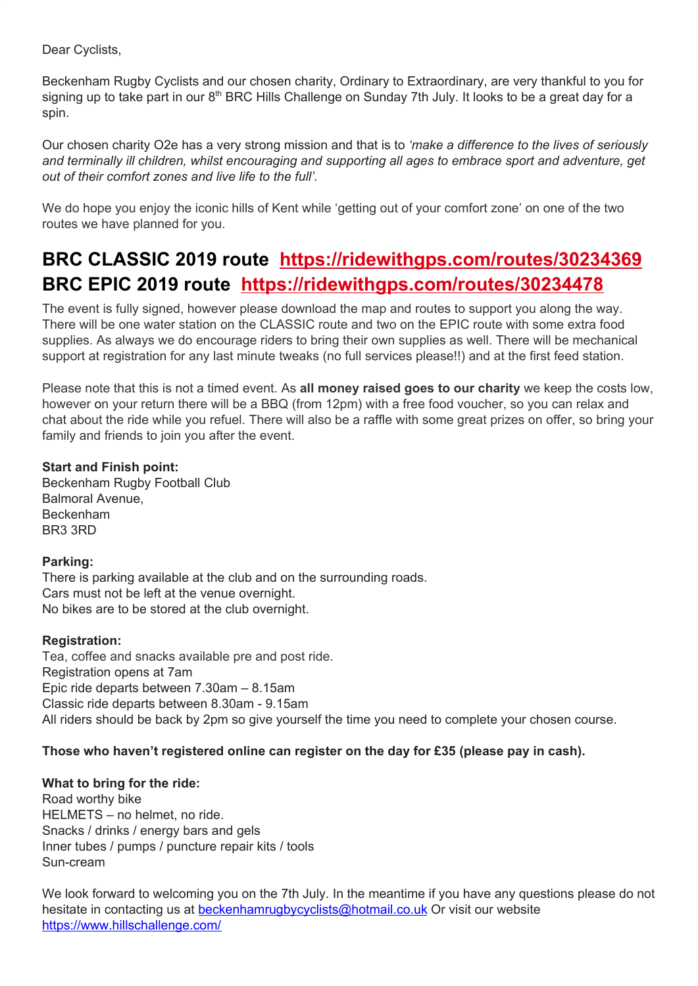Dear Cyclists,

Beckenham Rugby Cyclists and our chosen charity, Ordinary to Extraordinary, are very thankful to you for signing up to take part in our 8<sup>th</sup> BRC Hills Challenge on Sunday 7th July. It looks to be a great day for a spin.

Our chosen charity O2e has a very strong mission and that is to *'make a difference to the lives of seriously and terminally ill children, whilst encouraging and supporting all ages to embrace sport and adventure, get out of their comfort zones and live life to the full'.*

We do hope you enjoy the iconic hills of Kent while 'getting out of your comfort zone' on one of the two routes we have planned for you.

# **BRC CLASSIC 2019 route <https://ridewithgps.com/routes/30234369> BRC EPIC 2019 route <https://ridewithgps.com/routes/30234478>**

The event is fully signed, however please download the map and routes to support you along the way. There will be one water station on the CLASSIC route and two on the EPIC route with some extra food supplies. As always we do encourage riders to bring their own supplies as well. There will be mechanical support at registration for any last minute tweaks (no full services please!!) and at the first feed station.

Please note that this is not a timed event. As **all money raised goes to our charity** we keep the costs low, however on your return there will be a BBQ (from 12pm) with a free food voucher, so you can relax and chat about the ride while you refuel. There will also be a raffle with some great prizes on offer, so bring your family and friends to join you after the event.

# **Start and Finish point:**

Beckenham Rugby Football Club Balmoral Avenue, Beckenham BR3 3RD

### **Parking:**

There is parking available at the club and on the surrounding roads. Cars must not be left at the venue overnight. No bikes are to be stored at the club overnight.

### **Registration:**

Tea, coffee and snacks available pre and post ride. Registration opens at 7am Epic ride departs between 7.30am – 8.15am Classic ride departs between 8.30am - 9.15am All riders should be back by 2pm so give yourself the time you need to complete your chosen course.

# **Those who haven't registered online can register on the day for £35 (please pay in cash).**

### **What to bring for the ride:**

Road worthy bike HELMETS – no helmet, no ride. Snacks / drinks / energy bars and gels Inner tubes / pumps / puncture repair kits / tools Sun-cream

We look forward to welcoming you on the 7th July. In the meantime if you have any questions please do not hesitate in contacting us at [beckenhamrugbycyclists@hotmail.co.uk](mailto:beckenhamrugbycyclists@hotmail.co.uk) Or visit our website <https://www.hillschallenge.com/>